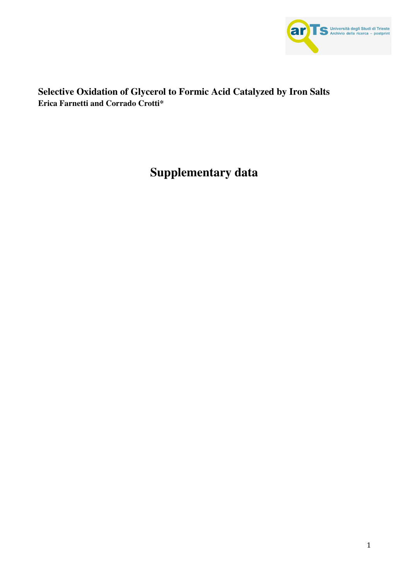

## **Selective Oxidation of Glycerol to Formic Acid Catalyzed by Iron Salts Erica Farnetti and Corrado Crotti\***

# **Supplementary data**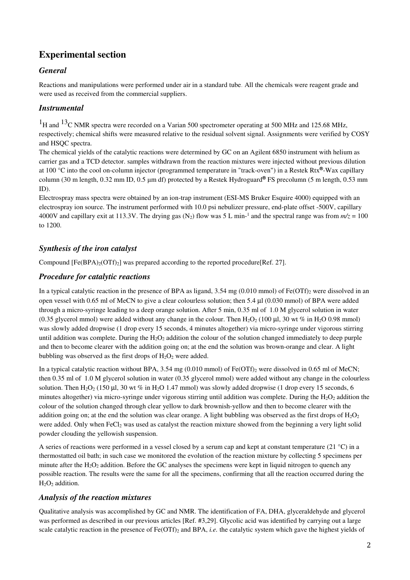# **Experimental section**

#### *General*

Reactions and manipulations were performed under air in a standard tube. All the chemicals were reagent grade and were used as received from the commercial suppliers.

#### *Instrumental*

<sup>1</sup>H and <sup>13</sup>C NMR spectra were recorded on a Varian 500 spectrometer operating at 500 MHz and 125.68 MHz, respectively; chemical shifts were measured relative to the residual solvent signal. Assignments were verified by COSY and HSQC spectra.

The chemical yields of the catalytic reactions were determined by GC on an Agilent 6850 instrument with helium as carrier gas and a TCD detector. samples withdrawn from the reaction mixtures were injected without previous dilution at 100 °C into the cool on-column injector (programmed temperature in "track-oven") in a Restek Rtx**®**-Wax capillary column (30 m length, 0.32 mm ID, 0.5 μm df) protected by a Restek Hydroguard**®** FS precolumn (5 m length, 0.53 mm ID).

Electrospray mass spectra were obtained by an ion-trap instrument (ESI-MS Bruker Esquire 4000) equipped with an electrospray ion source. The instrument performed with 10.0 psi nebulizer pressure, end-plate offset -500V, capillary 4000V and capillary exit at 113.3V. The drying gas (N<sub>2</sub>) flow was 5 L min-<sup>1</sup> and the spectral range was from  $m/z = 100$ to 1200.

#### *Synthesis of the iron catalyst*

Compound  $[Fe(BPA)<sub>2</sub>(OTf)<sub>2</sub>]$  was prepared according to the reported procedure [Ref. 27].

#### *Procedure for catalytic reactions*

In a typical catalytic reaction in the presence of BPA as ligand,  $3.54 \text{ mg } (0.010 \text{ mmol})$  of Fe(OTf)<sub>2</sub> were dissolved in an open vessel with 0.65 ml of MeCN to give a clear colourless solution; then 5.4 µl (0.030 mmol) of BPA were added through a micro-syringe leading to a deep orange solution. After 5 min, 0.35 ml of 1.0 M glycerol solution in water (0.35 glycerol mmol) were added without any change in the colour. Then  $H_2O_2$  (100 µl, 30 wt % in  $H_2O$  0.98 mmol) was slowly added dropwise (1 drop every 15 seconds, 4 minutes altogether) via micro-syringe under vigorous stirring until addition was complete. During the  $H_2O_2$  addition the colour of the solution changed immediately to deep purple and then to become clearer with the addition going on; at the end the solution was brown-orange and clear. A light bubbling was observed as the first drops of  $H_2O_2$  were added.

In a typical catalytic reaction without BPA,  $3.54 \text{ mg } (0.010 \text{ mmol})$  of Fe(OTf)<sub>2</sub> were dissolved in 0.65 ml of MeCN; then 0.35 ml of 1.0 M glycerol solution in water (0.35 glycerol mmol) were added without any change in the colourless solution. Then H<sub>2</sub>O<sub>2</sub> (150 µl, 30 wt % in H<sub>2</sub>O 1.47 mmol) was slowly added dropwise (1 drop every 15 seconds, 6 minutes altogether) via micro-syringe under vigorous stirring until addition was complete. During the  $H_2O_2$  addition the colour of the solution changed through clear yellow to dark brownish-yellow and then to become clearer with the addition going on; at the end the solution was clear orange. A light bubbling was observed as the first drops of  $H_2O_2$ were added. Only when FeCl<sub>2</sub> was used as catalyst the reaction mixture showed from the beginning a very light solid powder clouding the yellowish suspension.

A series of reactions were performed in a vessel closed by a serum cap and kept at constant temperature (21 °C) in a thermostatted oil bath; in such case we monitored the evolution of the reaction mixture by collecting 5 specimens per minute after the  $H_2O_2$  addition. Before the GC analyses the specimens were kept in liquid nitrogen to quench any possible reaction. The results were the same for all the specimens, confirming that all the reaction occurred during the H<sub>2</sub>O<sub>2</sub> addition.

#### *Analysis of the reaction mixtures*

Qualitative analysis was accomplished by GC and NMR. The identification of FA, DHA, glyceraldehyde and glycerol was performed as described in our previous articles [Ref. #3,29]. Glycolic acid was identified by carrying out a large scale catalytic reaction in the presence of  $Fe(OTf)_2$  and BPA, *i.e.* the catalytic system which gave the highest yields of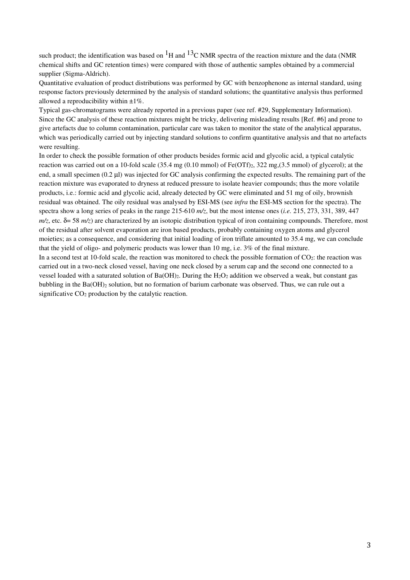such product; the identification was based on  ${}^{1}H$  and  ${}^{13}C$  NMR spectra of the reaction mixture and the data (NMR chemical shifts and GC retention times) were compared with those of authentic samples obtained by a commercial supplier (Sigma-Aldrich).

Quantitative evaluation of product distributions was performed by GC with benzophenone as internal standard, using response factors previously determined by the analysis of standard solutions; the quantitative analysis thus performed allowed a reproducibility within  $\pm 1\%$ .

Typical gas-chromatograms were already reported in a previous paper (see ref. #29, Supplementary Information). Since the GC analysis of these reaction mixtures might be tricky, delivering misleading results [Ref. #6] and prone to give artefacts due to column contamination, particular care was taken to monitor the state of the analytical apparatus, which was periodically carried out by injecting standard solutions to confirm quantitative analysis and that no artefacts were resulting.

In order to check the possible formation of other products besides formic acid and glycolic acid, a typical catalytic reaction was carried out on a 10-fold scale (35.4 mg (0.10 mmol) of Fe(OTf)<sub>2</sub>, 322 mg,(3.5 mmol) of glycerol); at the end, a small specimen (0.2 µl) was injected for GC analysis confirming the expected results. The remaining part of the reaction mixture was evaporated to dryness at reduced pressure to isolate heavier compounds; thus the more volatile products, i.e.: formic acid and glycolic acid, already detected by GC were eliminated and 51 mg of oily, brownish residual was obtained. The oily residual was analysed by ESI-MS (see *infra* the ESI-MS section for the spectra). The spectra show a long series of peaks in the range 215-610 *m/z*, but the most intense ones (*i.e.* 215, 273, 331, 389, 447 *m/z*, etc. δ= 58 *m/z*) are characterized by an isotopic distribution typical of iron containing compounds. Therefore, most of the residual after solvent evaporation are iron based products, probably containing oxygen atoms and glycerol moieties; as a consequence, and considering that initial loading of iron triflate amounted to 35.4 mg, we can conclude that the yield of oligo- and polymeric products was lower than 10 mg, i.e. 3% of the final mixture.

In a second test at 10-fold scale, the reaction was monitored to check the possible formation of  $CO_2$ : the reaction was carried out in a two-neck closed vessel, having one neck closed by a serum cap and the second one connected to a vessel loaded with a saturated solution of Ba(OH)<sub>2</sub>. During the  $H_2O_2$  addition we observed a weak, but constant gas bubbling in the Ba( $OH$ )<sub>2</sub> solution, but no formation of barium carbonate was observed. Thus, we can rule out a significative  $CO<sub>2</sub>$  production by the catalytic reaction.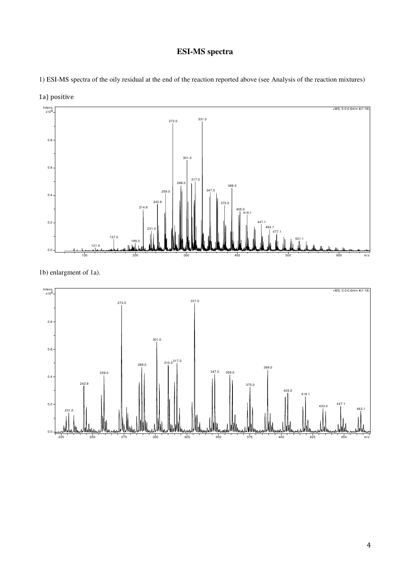## **ESI-MS spectra**

1) ESI-MS spectra of the oily residual at the end of the reaction reported above (see Analysis of the reaction mixtures)



1b) enlargment of 1a).

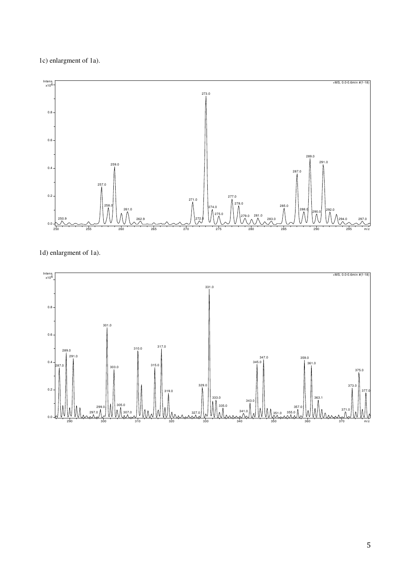1c) enlargment of 1a).



1d) enlargment of 1a).